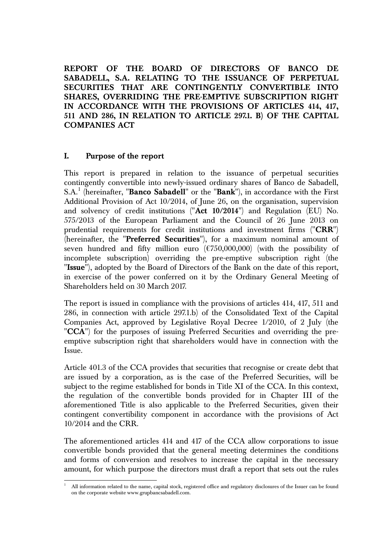**REPORT OF THE BOARD OF DIRECTORS OF BANCO DE SABADELL, S.A. RELATING TO THE ISSUANCE OF PERPETUAL SECURITIES THAT ARE CONTINGENTLY CONVERTIBLE INTO SHARES, OVERRIDING THE PRE-EMPTIVE SUBSCRIPTION RIGHT IN ACCORDANCE WITH THE PROVISIONS OF ARTICLES 414, 417, 511 AND 286, IN RELATION TO ARTICLE 297.1. B) OF THE CAPITAL COMPANIES ACT** 

#### **I. Purpose of the report**

This report is prepared in relation to the issuance of perpetual securities contingently convertible into newly-issued ordinary shares of Banco de Sabadell, S.A.<sup>1</sup> (hereinafter, "**Banco Sabadell**" or the "**Bank**"), in accordance with the First Additional Provision of Act 10/2014, of June 26, on the organisation, supervision and solvency of credit institutions ("**Act 10/2014**") and Regulation (EU) No. 575/2013 of the European Parliament and the Council of 26 June 2013 on prudential requirements for credit institutions and investment firms ("**CRR**") (hereinafter, the "**Preferred Securities**"), for a maximum nominal amount of seven hundred and fifty million euro  $(\text{\textsterling}750,000,000)$  (with the possibility of incomplete subscription) overriding the pre-emptive subscription right (the "**Issue**"), adopted by the Board of Directors of the Bank on the date of this report, in exercise of the power conferred on it by the Ordinary General Meeting of Shareholders held on 30 March 2017.

The report is issued in compliance with the provisions of articles 414, 417, 511 and 286, in connection with article 297.1.b) of the Consolidated Text of the Capital Companies Act, approved by Legislative Royal Decree 1/2010, of 2 July (the "**CCA**") for the purposes of issuing Preferred Securities and overriding the preemptive subscription right that shareholders would have in connection with the Issue.

Article 401.3 of the CCA provides that securities that recognise or create debt that are issued by a corporation, as is the case of the Preferred Securities, will be subject to the regime established for bonds in Title XI of the CCA. In this context, the regulation of the convertible bonds provided for in Chapter III of the aforementioned Title is also applicable to the Preferred Securities, given their contingent convertibility component in accordance with the provisions of Act 10/2014 and the CRR.

The aforementioned articles 414 and 417 of the CCA allow corporations to issue convertible bonds provided that the general meeting determines the conditions and forms of conversion and resolves to increase the capital in the necessary amount, for which purpose the directors must draft a report that sets out the rules

l 1 All information related to the name, capital stock, registered office and regulatory disclosures of the Issuer can be found on the corporate website www.grupbancsabadell.com.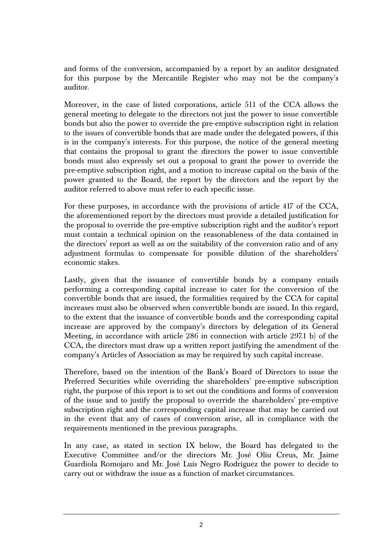and forms of the conversion, accompanied by a report by an auditor designated for this purpose by the Mercantile Register who may not be the company's auditor.

Moreover, in the case of listed corporations, article 511 of the CCA allows the general meeting to delegate to the directors not just the power to issue convertible bonds but also the power to override the pre-emptive subscription right in relation to the issues of convertible bonds that are made under the delegated powers, if this is in the company's interests. For this purpose, the notice of the general meeting that contains the proposal to grant the directors the power to issue convertible bonds must also expressly set out a proposal to grant the power to override the pre-emptive subscription right, and a motion to increase capital on the basis of the power granted to the Board, the report by the directors and the report by the auditor referred to above must refer to each specific issue.

For these purposes, in accordance with the provisions of article 417 of the CCA, the aforementioned report by the directors must provide a detailed justification for the proposal to override the pre-emptive subscription right and the auditor's report must contain a technical opinion on the reasonableness of the data contained in the directors' report as well as on the suitability of the conversion ratio and of any adjustment formulas to compensate for possible dilution of the shareholders' economic stakes.

Lastly, given that the issuance of convertible bonds by a company entails performing a corresponding capital increase to cater for the conversion of the convertible bonds that are issued, the formalities required by the CCA for capital increases must also be observed when convertible bonds are issued. In this regard, to the extent that the issuance of convertible bonds and the corresponding capital increase are approved by the company's directors by delegation of its General Meeting, in accordance with article 286 in connection with article 297.1 b) of the CCA, the directors must draw up a written report justifying the amendment of the company's Articles of Association as may be required by such capital increase.

Therefore, based on the intention of the Bank's Board of Directors to issue the Preferred Securities while overriding the shareholders' pre-emptive subscription right, the purpose of this report is to set out the conditions and forms of conversion of the issue and to justify the proposal to override the shareholders' pre-emptive subscription right and the corresponding capital increase that may be carried out in the event that any of cases of conversion arise, all in compliance with the requirements mentioned in the previous paragraphs.

In any case, as stated in section IX below, the Board has delegated to the Executive Committee and/or the directors Mr. José Oliu Creus, Mr. Jaime Guardiola Romojaro and Mr. José Luis Negro Rodríguez the power to decide to carry out or withdraw the issue as a function of market circumstances.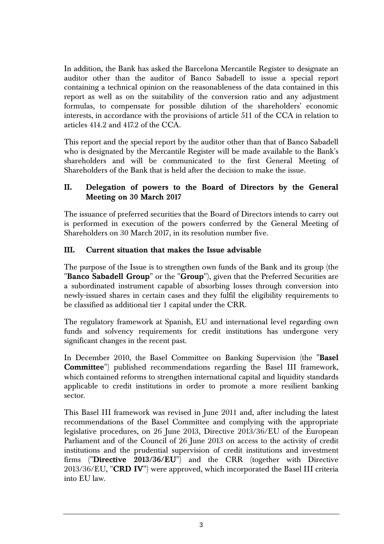In addition, the Bank has asked the Barcelona Mercantile Register to designate an auditor other than the auditor of Banco Sabadell to issue a special report containing a technical opinion on the reasonableness of the data contained in this report as well as on the suitability of the conversion ratio and any adjustment formulas, to compensate for possible dilution of the shareholders' economic interests, in accordance with the provisions of article 511 of the CCA in relation to articles 414.2 and 417.2 of the CCA.

This report and the special report by the auditor other than that of Banco Sabadell who is designated by the Mercantile Register will be made available to the Bank's shareholders and will be communicated to the first General Meeting of Shareholders of the Bank that is held after the decision to make the issue.

# **II. Delegation of powers to the Board of Directors by the General Meeting on 30 March 2017**

The issuance of preferred securities that the Board of Directors intends to carry out is performed in execution of the powers conferred by the General Meeting of Shareholders on 30 March 2017, in its resolution number five.

# **III. Current situation that makes the Issue advisable**

The purpose of the Issue is to strengthen own funds of the Bank and its group (the "**Banco Sabadell Group**" or the "**Group**"), given that the Preferred Securities are a subordinated instrument capable of absorbing losses through conversion into newly-issued shares in certain cases and they fulfil the eligibility requirements to be classified as additional tier 1 capital under the CRR.

The regulatory framework at Spanish, EU and international level regarding own funds and solvency requirements for credit institutions has undergone very significant changes in the recent past.

In December 2010, the Basel Committee on Banking Supervision (the "**Basel Committee**") published recommendations regarding the Basel III framework, which contained reforms to strengthen international capital and liquidity standards applicable to credit institutions in order to promote a more resilient banking sector.

This Basel III framework was revised in June 2011 and, after including the latest recommendations of the Basel Committee and complying with the appropriate legislative procedures, on 26 June 2013, Directive 2013/36/EU of the European Parliament and of the Council of 26 June 2013 on access to the activity of credit institutions and the prudential supervision of credit institutions and investment firms ("**Directive 2013/36/EU**") and the CRR (together with Directive 2013/36/EU, "**CRD IV**") were approved, which incorporated the Basel III criteria into EU law.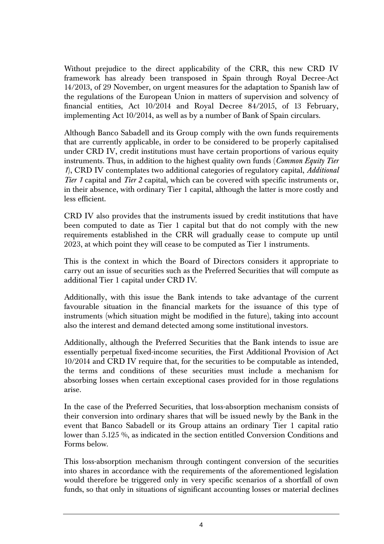Without prejudice to the direct applicability of the CRR, this new CRD IV framework has already been transposed in Spain through Royal Decree-Act 14/2013, of 29 November, on urgent measures for the adaptation to Spanish law of the regulations of the European Union in matters of supervision and solvency of financial entities, Act 10/2014 and Royal Decree 84/2015, of 13 February, implementing Act 10/2014, as well as by a number of Bank of Spain circulars.

Although Banco Sabadell and its Group comply with the own funds requirements that are currently applicable, in order to be considered to be properly capitalised under CRD IV, credit institutions must have certain proportions of various equity instruments. Thus, in addition to the highest quality own funds (*Common Equity Tier 1*), CRD IV contemplates two additional categories of regulatory capital, *Additional Tier 1* capital and *Tier 2* capital, which can be covered with specific instruments or, in their absence, with ordinary Tier 1 capital, although the latter is more costly and less efficient.

CRD IV also provides that the instruments issued by credit institutions that have been computed to date as Tier 1 capital but that do not comply with the new requirements established in the CRR will gradually cease to compute up until 2023, at which point they will cease to be computed as Tier 1 instruments.

This is the context in which the Board of Directors considers it appropriate to carry out an issue of securities such as the Preferred Securities that will compute as additional Tier 1 capital under CRD IV.

Additionally, with this issue the Bank intends to take advantage of the current favourable situation in the financial markets for the issuance of this type of instruments (which situation might be modified in the future), taking into account also the interest and demand detected among some institutional investors.

Additionally, although the Preferred Securities that the Bank intends to issue are essentially perpetual fixed-income securities, the First Additional Provision of Act 10/2014 and CRD IV require that, for the securities to be computable as intended, the terms and conditions of these securities must include a mechanism for absorbing losses when certain exceptional cases provided for in those regulations arise.

In the case of the Preferred Securities, that loss-absorption mechanism consists of their conversion into ordinary shares that will be issued newly by the Bank in the event that Banco Sabadell or its Group attains an ordinary Tier 1 capital ratio lower than 5.125 %, as indicated in the section entitled Conversion Conditions and Forms below.

This loss-absorption mechanism through contingent conversion of the securities into shares in accordance with the requirements of the aforementioned legislation would therefore be triggered only in very specific scenarios of a shortfall of own funds, so that only in situations of significant accounting losses or material declines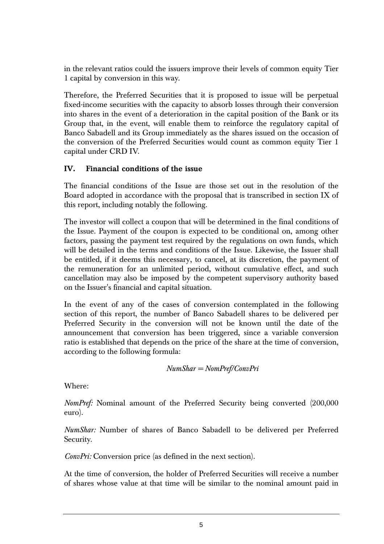in the relevant ratios could the issuers improve their levels of common equity Tier 1 capital by conversion in this way.

Therefore, the Preferred Securities that it is proposed to issue will be perpetual fixed-income securities with the capacity to absorb losses through their conversion into shares in the event of a deterioration in the capital position of the Bank or its Group that, in the event, will enable them to reinforce the regulatory capital of Banco Sabadell and its Group immediately as the shares issued on the occasion of the conversion of the Preferred Securities would count as common equity Tier 1 capital under CRD IV.

# **IV. Financial conditions of the issue**

The financial conditions of the Issue are those set out in the resolution of the Board adopted in accordance with the proposal that is transcribed in section IX of this report, including notably the following.

The investor will collect a coupon that will be determined in the final conditions of the Issue. Payment of the coupon is expected to be conditional on, among other factors, passing the payment test required by the regulations on own funds, which will be detailed in the terms and conditions of the Issue. Likewise, the Issuer shall be entitled, if it deems this necessary, to cancel, at its discretion, the payment of the remuneration for an unlimited period, without cumulative effect, and such cancellation may also be imposed by the competent supervisory authority based on the Issuer's financial and capital situation.

In the event of any of the cases of conversion contemplated in the following section of this report, the number of Banco Sabadell shares to be delivered per Preferred Security in the conversion will not be known until the date of the announcement that conversion has been triggered, since a variable conversion ratio is established that depends on the price of the share at the time of conversion, according to the following formula:

```
NumShar = NomPref/ConvPri
```
Where:

*NomPref:* Nominal amount of the Preferred Security being converted (200,000 euro).

*NumShar:* Number of shares of Banco Sabadell to be delivered per Preferred Security.

*ConvPri:* Conversion price (as defined in the next section).

At the time of conversion, the holder of Preferred Securities will receive a number of shares whose value at that time will be similar to the nominal amount paid in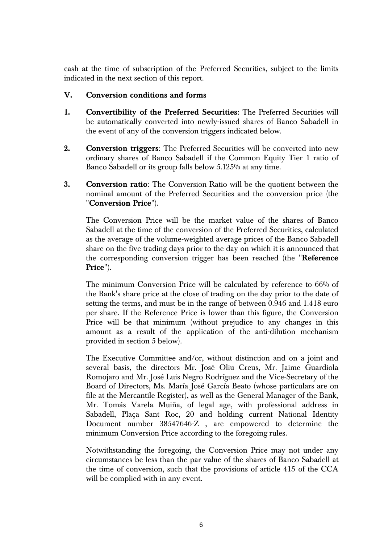cash at the time of subscription of the Preferred Securities, subject to the limits indicated in the next section of this report.

# **V. Conversion conditions and forms**

- **1. Convertibility of the Preferred Securities**: The Preferred Securities will be automatically converted into newly-issued shares of Banco Sabadell in the event of any of the conversion triggers indicated below.
- **2. Conversion triggers**: The Preferred Securities will be converted into new ordinary shares of Banco Sabadell if the Common Equity Tier 1 ratio of Banco Sabadell or its group falls below 5.125% at any time.
- **3. Conversion ratio**: The Conversion Ratio will be the quotient between the nominal amount of the Preferred Securities and the conversion price (the "**Conversion Price**").

The Conversion Price will be the market value of the shares of Banco Sabadell at the time of the conversion of the Preferred Securities, calculated as the average of the volume-weighted average prices of the Banco Sabadell share on the five trading days prior to the day on which it is announced that the corresponding conversion trigger has been reached (the "**Reference Price**").

The minimum Conversion Price will be calculated by reference to 66% of the Bank's share price at the close of trading on the day prior to the date of setting the terms, and must be in the range of between 0.946 and 1.418 euro per share. If the Reference Price is lower than this figure, the Conversion Price will be that minimum (without prejudice to any changes in this amount as a result of the application of the anti-dilution mechanism provided in section 5 below).

The Executive Committee and/or, without distinction and on a joint and several basis, the directors Mr. José Oliu Creus, Mr. Jaime Guardiola Romojaro and Mr. José Luis Negro Rodríguez and the Vice-Secretary of the Board of Directors, Ms. María José García Beato (whose particulars are on file at the Mercantile Register), as well as the General Manager of the Bank, Mr. Tomás Varela Muiña, of legal age, with professional address in Sabadell, Plaça Sant Roc, 20 and holding current National Identity Document number 38547646-Z , are empowered to determine the minimum Conversion Price according to the foregoing rules.

Notwithstanding the foregoing, the Conversion Price may not under any circumstances be less than the par value of the shares of Banco Sabadell at the time of conversion, such that the provisions of article 415 of the CCA will be complied with in any event.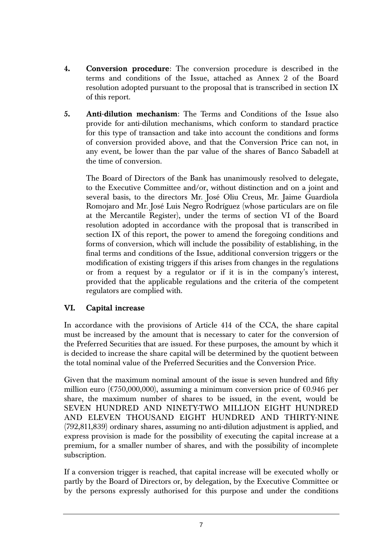- **4. Conversion procedure**: The conversion procedure is described in the terms and conditions of the Issue, attached as Annex 2 of the Board resolution adopted pursuant to the proposal that is transcribed in section IX of this report.
- **5. Anti-dilution mechanism**: The Terms and Conditions of the Issue also provide for anti-dilution mechanisms, which conform to standard practice for this type of transaction and take into account the conditions and forms of conversion provided above, and that the Conversion Price can not, in any event, be lower than the par value of the shares of Banco Sabadell at the time of conversion.

The Board of Directors of the Bank has unanimously resolved to delegate, to the Executive Committee and/or, without distinction and on a joint and several basis, to the directors Mr. José Oliu Creus, Mr. Jaime Guardiola Romojaro and Mr. José Luis Negro Rodríguez (whose particulars are on file at the Mercantile Register), under the terms of section VI of the Board resolution adopted in accordance with the proposal that is transcribed in section IX of this report, the power to amend the foregoing conditions and forms of conversion, which will include the possibility of establishing, in the final terms and conditions of the Issue, additional conversion triggers or the modification of existing triggers if this arises from changes in the regulations or from a request by a regulator or if it is in the company's interest, provided that the applicable regulations and the criteria of the competent regulators are complied with.

### **VI. Capital increase**

In accordance with the provisions of Article 414 of the CCA, the share capital must be increased by the amount that is necessary to cater for the conversion of the Preferred Securities that are issued. For these purposes, the amount by which it is decided to increase the share capital will be determined by the quotient between the total nominal value of the Preferred Securities and the Conversion Price.

Given that the maximum nominal amount of the issue is seven hundred and fifty million euro ( $\epsilon$ 750,000,000), assuming a minimum conversion price of  $\epsilon$ 0.946 per share, the maximum number of shares to be issued, in the event, would be SEVEN HUNDRED AND NINETY-TWO MILLION EIGHT HUNDRED AND ELEVEN THOUSAND EIGHT HUNDRED AND THIRTY-NINE (792,811,839) ordinary shares, assuming no anti-dilution adjustment is applied, and express provision is made for the possibility of executing the capital increase at a premium, for a smaller number of shares, and with the possibility of incomplete subscription.

If a conversion trigger is reached, that capital increase will be executed wholly or partly by the Board of Directors or, by delegation, by the Executive Committee or by the persons expressly authorised for this purpose and under the conditions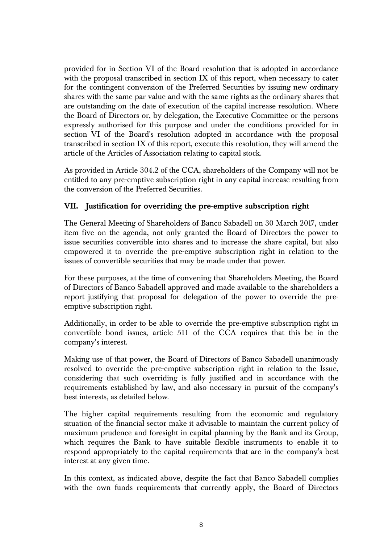provided for in Section VI of the Board resolution that is adopted in accordance with the proposal transcribed in section IX of this report, when necessary to cater for the contingent conversion of the Preferred Securities by issuing new ordinary shares with the same par value and with the same rights as the ordinary shares that are outstanding on the date of execution of the capital increase resolution. Where the Board of Directors or, by delegation, the Executive Committee or the persons expressly authorised for this purpose and under the conditions provided for in section VI of the Board's resolution adopted in accordance with the proposal transcribed in section IX of this report, execute this resolution, they will amend the article of the Articles of Association relating to capital stock.

As provided in Article 304.2 of the CCA, shareholders of the Company will not be entitled to any pre-emptive subscription right in any capital increase resulting from the conversion of the Preferred Securities.

# **VII. Justification for overriding the pre-emptive subscription right**

The General Meeting of Shareholders of Banco Sabadell on 30 March 2017, under item five on the agenda, not only granted the Board of Directors the power to issue securities convertible into shares and to increase the share capital, but also empowered it to override the pre-emptive subscription right in relation to the issues of convertible securities that may be made under that power.

For these purposes, at the time of convening that Shareholders Meeting, the Board of Directors of Banco Sabadell approved and made available to the shareholders a report justifying that proposal for delegation of the power to override the preemptive subscription right.

Additionally, in order to be able to override the pre-emptive subscription right in convertible bond issues, article 511 of the CCA requires that this be in the company's interest.

Making use of that power, the Board of Directors of Banco Sabadell unanimously resolved to override the pre-emptive subscription right in relation to the Issue, considering that such overriding is fully justified and in accordance with the requirements established by law, and also necessary in pursuit of the company's best interests, as detailed below.

The higher capital requirements resulting from the economic and regulatory situation of the financial sector make it advisable to maintain the current policy of maximum prudence and foresight in capital planning by the Bank and its Group, which requires the Bank to have suitable flexible instruments to enable it to respond appropriately to the capital requirements that are in the company's best interest at any given time.

In this context, as indicated above, despite the fact that Banco Sabadell complies with the own funds requirements that currently apply, the Board of Directors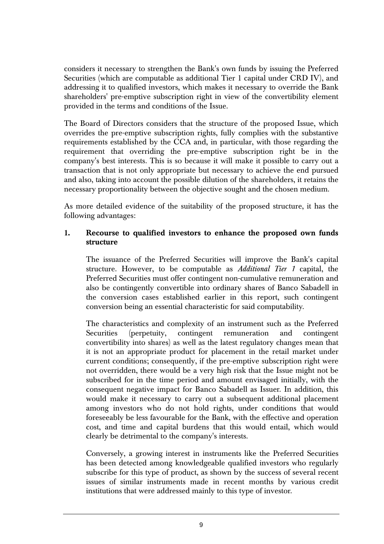considers it necessary to strengthen the Bank's own funds by issuing the Preferred Securities (which are computable as additional Tier 1 capital under CRD IV), and addressing it to qualified investors, which makes it necessary to override the Bank shareholders' pre-emptive subscription right in view of the convertibility element provided in the terms and conditions of the Issue.

The Board of Directors considers that the structure of the proposed Issue, which overrides the pre-emptive subscription rights, fully complies with the substantive requirements established by the CCA and, in particular, with those regarding the requirement that overriding the pre-emptive subscription right be in the company's best interests. This is so because it will make it possible to carry out a transaction that is not only appropriate but necessary to achieve the end pursued and also, taking into account the possible dilution of the shareholders, it retains the necessary proportionality between the objective sought and the chosen medium.

As more detailed evidence of the suitability of the proposed structure, it has the following advantages:

#### **1. Recourse to qualified investors to enhance the proposed own funds structure**

The issuance of the Preferred Securities will improve the Bank's capital structure. However, to be computable as *Additional Tier 1* capital, the Preferred Securities must offer contingent non-cumulative remuneration and also be contingently convertible into ordinary shares of Banco Sabadell in the conversion cases established earlier in this report, such contingent conversion being an essential characteristic for said computability.

The characteristics and complexity of an instrument such as the Preferred Securities (perpetuity, contingent remuneration and contingent convertibility into shares) as well as the latest regulatory changes mean that it is not an appropriate product for placement in the retail market under current conditions; consequently, if the pre-emptive subscription right were not overridden, there would be a very high risk that the Issue might not be subscribed for in the time period and amount envisaged initially, with the consequent negative impact for Banco Sabadell as Issuer. In addition, this would make it necessary to carry out a subsequent additional placement among investors who do not hold rights, under conditions that would foreseeably be less favourable for the Bank, with the effective and operation cost, and time and capital burdens that this would entail, which would clearly be detrimental to the company's interests.

Conversely, a growing interest in instruments like the Preferred Securities has been detected among knowledgeable qualified investors who regularly subscribe for this type of product, as shown by the success of several recent issues of similar instruments made in recent months by various credit institutions that were addressed mainly to this type of investor.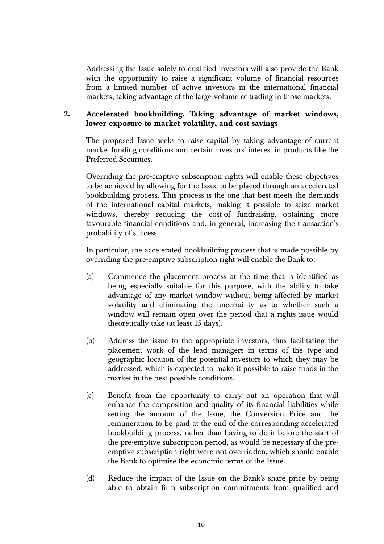Addressing the Issue solely to qualified investors will also provide the Bank with the opportunity to raise a significant volume of financial resources from a limited number of active investors in the international financial markets, taking advantage of the large volume of trading in those markets.

# **2. Accelerated bookbuilding. Taking advantage of market windows, lower exposure to market volatility, and cost savings**

The proposed Issue seeks to raise capital by taking advantage of current market funding conditions and certain investors' interest in products like the Preferred Securities.

Overriding the pre-emptive subscription rights will enable these objectives to be achieved by allowing for the Issue to be placed through an accelerated bookbuilding process. This process is the one that best meets the demands of the international capital markets, making it possible to seize market windows, thereby reducing the cost of fundraising, obtaining more favourable financial conditions and, in general, increasing the transaction's probability of success.

In particular, the accelerated bookbuilding process that is made possible by overriding the pre-emptive subscription right will enable the Bank to:

- (a) Commence the placement process at the time that is identified as being especially suitable for this purpose, with the ability to take advantage of any market window without being affected by market volatility and eliminating the uncertainty as to whether such a window will remain open over the period that a rights issue would theoretically take (at least 15 days).
- (b) Address the issue to the appropriate investors, thus facilitating the placement work of the lead managers in terms of the type and geographic location of the potential investors to which they may be addressed, which is expected to make it possible to raise funds in the market in the best possible conditions.
- (c) Benefit from the opportunity to carry out an operation that will enhance the composition and quality of its financial liabilities while setting the amount of the Issue, the Conversion Price and the remuneration to be paid at the end of the corresponding accelerated bookbuilding process, rather than having to do it before the start of the pre-emptive subscription period, as would be necessary if the preemptive subscription right were not overridden, which should enable the Bank to optimise the economic terms of the Issue.
- (d) Reduce the impact of the Issue on the Bank's share price by being able to obtain firm subscription commitments from qualified and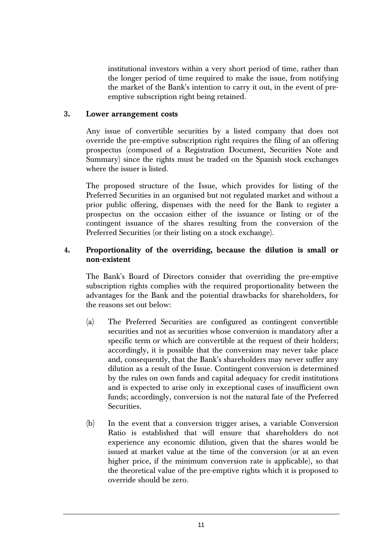institutional investors within a very short period of time, rather than the longer period of time required to make the issue, from notifying the market of the Bank's intention to carry it out, in the event of preemptive subscription right being retained.

#### **3. Lower arrangement costs**

Any issue of convertible securities by a listed company that does not override the pre-emptive subscription right requires the filing of an offering prospectus (composed of a Registration Document, Securities Note and Summary) since the rights must be traded on the Spanish stock exchanges where the issuer is listed.

The proposed structure of the Issue, which provides for listing of the Preferred Securities in an organised but not regulated market and without a prior public offering, dispenses with the need for the Bank to register a prospectus on the occasion either of the issuance or listing or of the contingent issuance of the shares resulting from the conversion of the Preferred Securities (or their listing on a stock exchange).

## **4. Proportionality of the overriding, because the dilution is small or non-existent**

The Bank's Board of Directors consider that overriding the pre-emptive subscription rights complies with the required proportionality between the advantages for the Bank and the potential drawbacks for shareholders, for the reasons set out below:

- (a) The Preferred Securities are configured as contingent convertible securities and not as securities whose conversion is mandatory after a specific term or which are convertible at the request of their holders; accordingly, it is possible that the conversion may never take place and, consequently, that the Bank's shareholders may never suffer any dilution as a result of the Issue. Contingent conversion is determined by the rules on own funds and capital adequacy for credit institutions and is expected to arise only in exceptional cases of insufficient own funds; accordingly, conversion is not the natural fate of the Preferred Securities.
- (b) In the event that a conversion trigger arises, a variable Conversion Ratio is established that will ensure that shareholders do not experience any economic dilution, given that the shares would be issued at market value at the time of the conversion (or at an even higher price, if the minimum conversion rate is applicable), so that the theoretical value of the pre-emptive rights which it is proposed to override should be zero.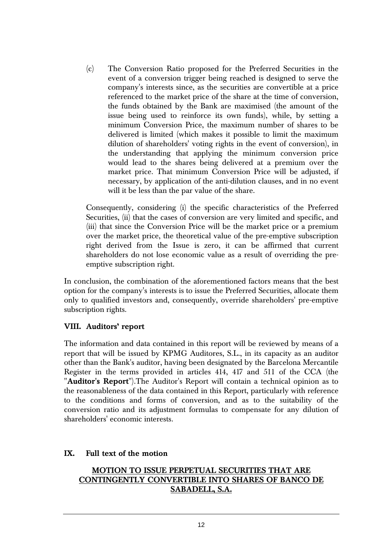(c) The Conversion Ratio proposed for the Preferred Securities in the event of a conversion trigger being reached is designed to serve the company's interests since, as the securities are convertible at a price referenced to the market price of the share at the time of conversion, the funds obtained by the Bank are maximised (the amount of the issue being used to reinforce its own funds), while, by setting a minimum Conversion Price, the maximum number of shares to be delivered is limited (which makes it possible to limit the maximum dilution of shareholders' voting rights in the event of conversion), in the understanding that applying the minimum conversion price would lead to the shares being delivered at a premium over the market price. That minimum Conversion Price will be adjusted, if necessary, by application of the anti-dilution clauses, and in no event will it be less than the par value of the share.

Consequently, considering (i) the specific characteristics of the Preferred Securities, (ii) that the cases of conversion are very limited and specific, and (iii) that since the Conversion Price will be the market price or a premium over the market price, the theoretical value of the pre-emptive subscription right derived from the Issue is zero, it can be affirmed that current shareholders do not lose economic value as a result of overriding the preemptive subscription right.

In conclusion, the combination of the aforementioned factors means that the best option for the company's interests is to issue the Preferred Securities, allocate them only to qualified investors and, consequently, override shareholders' pre-emptive subscription rights.

### **VIII. Auditors' report**

The information and data contained in this report will be reviewed by means of a report that will be issued by KPMG Auditores, S.L., in its capacity as an auditor other than the Bank's auditor, having been designated by the Barcelona Mercantile Register in the terms provided in articles 414, 417 and 511 of the CCA (the "**Auditor's Report**").The Auditor's Report will contain a technical opinion as to the reasonableness of the data contained in this Report, particularly with reference to the conditions and forms of conversion, and as to the suitability of the conversion ratio and its adjustment formulas to compensate for any dilution of shareholders' economic interests.

#### **IX. Full text of the motion**

# **MOTION TO ISSUE PERPETUAL SECURITIES THAT ARE CONTINGENTLY CONVERTIBLE INTO SHARES OF BANCO DE SABADELL, S.A.**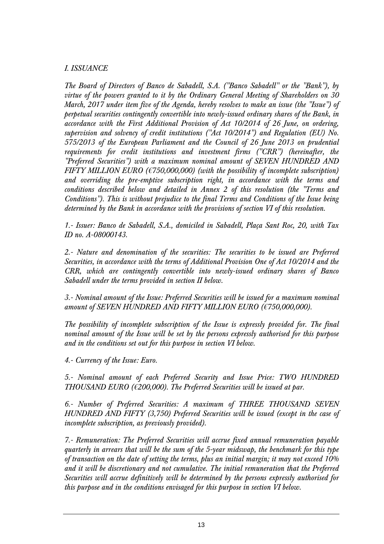### *I. ISSUANCE*

*The Board of Directors of Banco de Sabadell, S.A. ("Banco Sabadell" or the "Bank"), by virtue of the powers granted to it by the Ordinary General Meeting of Shareholders on 30 March, 2017 under item five of the Agenda, hereby resolves to make an issue (the "Issue") of perpetual securities contingently convertible into newly-issued ordinary shares of the Bank, in accordance with the First Additional Provision of Act 10/2014 of 26 June, on ordering, supervision and solvency of credit institutions ("Act 10/2014") and Regulation (EU) No. 575/2013 of the European Parliament and the Council of 26 June 2013 on prudential requirements for credit institutions and investment firms ("CRR") (hereinafter, the "Preferred Securities") with a maximum nominal amount of SEVEN HUNDRED AND FIFTY MILLION EURO (€750,000,000) (with the possibility of incomplete subscription) and overriding the pre-emptive subscription right, in accordance with the terms and conditions described below and detailed in Annex 2 of this resolution (the "Terms and Conditions"). This is without prejudice to the final Terms and Conditions of the Issue being determined by the Bank in accordance with the provisions of section VI of this resolution.* 

*1.- Issuer: Banco de Sabadell, S.A., domiciled in Sabadell, Plaça Sant Roc, 20, with Tax ID no. A-08000143.* 

*2.- Nature and denomination of the securities: The securities to be issued are Preferred Securities, in accordance with the terms of Additional Provision One of Act 10/2014 and the CRR, which are contingently convertible into newly-issued ordinary shares of Banco Sabadell under the terms provided in section II below.* 

*3.- Nominal amount of the Issue: Preferred Securities will be issued for a maximum nominal amount of SEVEN HUNDRED AND FIFTY MILLION EURO (€750,000,000).* 

*The possibility of incomplete subscription of the Issue is expressly provided for. The final nominal amount of the Issue will be set by the persons expressly authorised for this purpose and in the conditions set out for this purpose in section VI below.* 

*4.- Currency of the Issue: Euro.* 

*5.- Nominal amount of each Preferred Security and Issue Price: TWO HUNDRED THOUSAND EURO (€200,000). The Preferred Securities will be issued at par.* 

*6.- Number of Preferred Securities: A maximum of THREE THOUSAND SEVEN HUNDRED AND FIFTY (3,750) Preferred Securities will be issued (except in the case of incomplete subscription, as previously provided).* 

*7.- Remuneration: The Preferred Securities will accrue fixed annual remuneration payable quarterly in arrears that will be the sum of the 5-year midswap, the benchmark for this type of transaction on the date of setting the terms, plus an initial margin; it may not exceed 10% and it will be discretionary and not cumulative. The initial remuneration that the Preferred Securities will accrue definitively will be determined by the persons expressly authorised for this purpose and in the conditions envisaged for this purpose in section VI below.*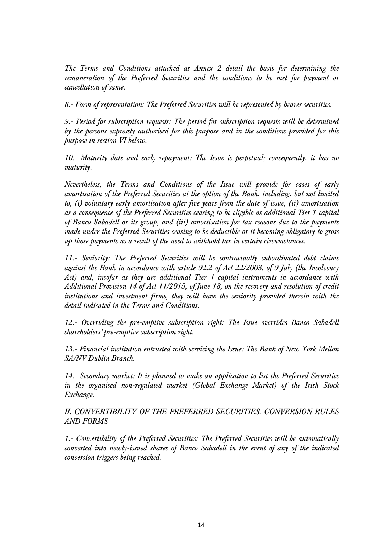*The Terms and Conditions attached as Annex 2 detail the basis for determining the remuneration of the Preferred Securities and the conditions to be met for payment or cancellation of same.* 

*8.- Form of representation: The Preferred Securities will be represented by bearer securities.* 

*9.- Period for subscription requests: The period for subscription requests will be determined by the persons expressly authorised for this purpose and in the conditions provided for this purpose in section VI below.* 

*10.- Maturity date and early repayment: The Issue is perpetual; consequently, it has no maturity.* 

*Nevertheless, the Terms and Conditions of the Issue will provide for cases of early amortisation of the Preferred Securities at the option of the Bank, including, but not limited to, (i) voluntary early amortisation after five years from the date of issue, (ii) amortisation as a consequence of the Preferred Securities ceasing to be eligible as additional Tier 1 capital of Banco Sabadell or its group, and (iii) amortisation for tax reasons due to the payments made under the Preferred Securities ceasing to be deductible or it becoming obligatory to gross up those payments as a result of the need to withhold tax in certain circumstances.* 

*11.- Seniority: The Preferred Securities will be contractually subordinated debt claims against the Bank in accordance with article 92.2 of Act 22/2003, of 9 July (the Insolvency Act) and, insofar as they are additional Tier 1 capital instruments in accordance with Additional Provision 14 of Act 11/2015, of June 18, on the recovery and resolution of credit institutions and investment firms, they will have the seniority provided therein with the detail indicated in the Terms and Conditions.* 

*12.- Overriding the pre-emptive subscription right: The Issue overrides Banco Sabadell shareholders' pre-emptive subscription right.* 

*13.- Financial institution entrusted with servicing the Issue: The Bank of New York Mellon SA/NV Dublin Branch.* 

*14.- Secondary market: It is planned to make an application to list the Preferred Securities in the organised non-regulated market (Global Exchange Market) of the Irish Stock Exchange.* 

*II. CONVERTIBILITY OF THE PREFERRED SECURITIES. CONVERSION RULES AND FORMS* 

*1.- Convertibility of the Preferred Securities: The Preferred Securities will be automatically converted into newly-issued shares of Banco Sabadell in the event of any of the indicated conversion triggers being reached.*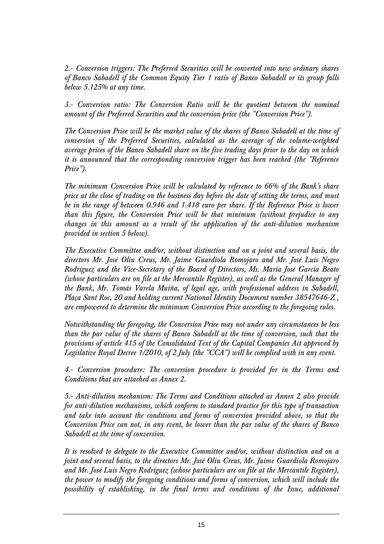*2.- Conversion triggers: The Preferred Securities will be converted into new ordinary shares of Banco Sabadell if the Common Equity Tier 1 ratio of Banco Sabadell or its group falls below 5.125% at any time.* 

*3.- Conversion ratio: The Conversion Ratio will be the quotient between the nominal amount of the Preferred Securities and the conversion price (the "Conversion Price").* 

*The Conversion Price will be the market value of the shares of Banco Sabadell at the time of conversion of the Preferred Securities, calculated as the average of the volume-weighted average prices of the Banco Sabadell share on the five trading days prior to the day on which it is announced that the corresponding conversion trigger has been reached (the "Reference Price").* 

*The minimum Conversion Price will be calculated by reference to 66% of the Bank's share price at the close of trading on the business day before the date of setting the terms, and must be in the range of between 0.946 and 1.418 euro per share. If the Reference Price is lower than this figure, the Conversion Price will be that minimum (without prejudice to any changes in this amount as a result of the application of the anti-dilution mechanism provided in section 5 below).* 

*The Executive Committee and/or, without distinction and on a joint and several basis, the directors Mr. José Oliu Creus, Mr. Jaime Guardiola Romojaro and Mr. José Luis Negro Rodríguez and the Vice-Secretary of the Board of Directors, Ms. María José García Beato (whose particulars are on file at the Mercantile Register), as well as the General Manager of the Bank, Mr. Tomás Varela Muiña, of legal age, with professional address in Sabadell, Plaça Sant Roc, 20 and holding current National Identity Document number 38547646-Z , are empowered to determine the minimum Conversion Price according to the foregoing rules.* 

*Notwithstanding the foregoing, the Conversion Price may not under any circumstances be less than the par value of the shares of Banco Sabadell at the time of conversion, such that the provisions of article 415 of the Consolidated Text of the Capital Companies Act approved by Legislative Royal Decree 1/2010, of 2 July (the "CCA") will be complied with in any event.* 

*4.- Conversion procedure: The conversion procedure is provided for in the Terms and Conditions that are attached as Annex 2.* 

*5.- Anti-dilution mechanism: The Terms and Conditions attached as Annex 2 also provide for anti-dilution mechanisms, which conform to standard practice for this type of transaction and take into account the conditions and forms of conversion provided above, so that the Conversion Price can not, in any event, be lower than the par value of the shares of Banco Sabadell at the time of conversion.* 

*It is resolved to delegate to the Executive Committee and/or, without distinction and on a joint and several basis, to the directors Mr. José Oliu Creus, Mr. Jaime Guardiola Romojaro and Mr. José Luis Negro Rodríguez (whose particulars are on file at the Mercantile Register), the power to modify the foregoing conditions and forms of conversion, which will include the possibility of establishing, in the final terms and conditions of the Issue, additional*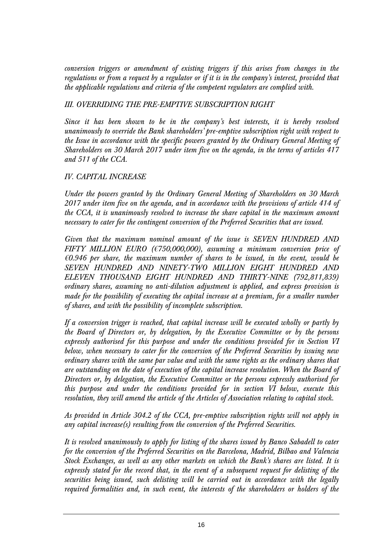*conversion triggers or amendment of existing triggers if this arises from changes in the regulations or from a request by a regulator or if it is in the company's interest, provided that the applicable regulations and criteria of the competent regulators are complied with.* 

## *III. OVERRIDING THE PRE-EMPTIVE SUBSCRIPTION RIGHT*

*Since it has been shown to be in the company's best interests, it is hereby resolved unanimously to override the Bank shareholders' pre-emptive subscription right with respect to the Issue in accordance with the specific powers granted by the Ordinary General Meeting of Shareholders on 30 March 2017 under item five on the agenda, in the terms of articles 417 and 511 of the CCA.* 

### *IV. CAPITAL INCREASE*

*Under the powers granted by the Ordinary General Meeting of Shareholders on 30 March 2017 under item five on the agenda, and in accordance with the provisions of article 414 of the CCA, it is unanimously resolved to increase the share capital in the maximum amount necessary to cater for the contingent conversion of the Preferred Securities that are issued.* 

*Given that the maximum nominal amount of the issue is SEVEN HUNDRED AND FIFTY MILLION EURO (€750,000,000), assuming a minimum conversion price of €0.946 per share, the maximum number of shares to be issued, in the event, would be SEVEN HUNDRED AND NINETY-TWO MILLION EIGHT HUNDRED AND ELEVEN THOUSAND EIGHT HUNDRED AND THIRTY-NINE (792,811,839) ordinary shares, assuming no anti-dilution adjustment is applied, and express provision is made for the possibility of executing the capital increase at a premium, for a smaller number of shares, and with the possibility of incomplete subscription.* 

*If a conversion trigger is reached, that capital increase will be executed wholly or partly by the Board of Directors or, by delegation, by the Executive Committee or by the persons expressly authorised for this purpose and under the conditions provided for in Section VI below, when necessary to cater for the conversion of the Preferred Securities by issuing new ordinary shares with the same par value and with the same rights as the ordinary shares that are outstanding on the date of execution of the capital increase resolution. When the Board of Directors or, by delegation, the Executive Committee or the persons expressly authorised for this purpose and under the conditions provided for in section VI below, execute this resolution, they will amend the article of the Articles of Association relating to capital stock.* 

*As provided in Article 304.2 of the CCA, pre-emptive subscription rights will not apply in any capital increase(s) resulting from the conversion of the Preferred Securities.* 

*It is resolved unanimously to apply for listing of the shares issued by Banco Sabadell to cater for the conversion of the Preferred Securities on the Barcelona, Madrid, Bilbao and Valencia Stock Exchanges, as well as any other markets on which the Bank's shares are listed. It is expressly stated for the record that, in the event of a subsequent request for delisting of the securities being issued, such delisting will be carried out in accordance with the legally required formalities and, in such event, the interests of the shareholders or holders of the*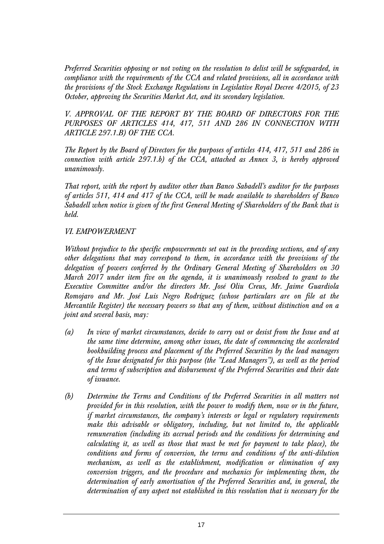*Preferred Securities opposing or not voting on the resolution to delist will be safeguarded, in compliance with the requirements of the CCA and related provisions, all in accordance with the provisions of the Stock Exchange Regulations in Legislative Royal Decree 4/2015, of 23 October, approving the Securities Market Act, and its secondary legislation.* 

*V. APPROVAL OF THE REPORT BY THE BOARD OF DIRECTORS FOR THE PURPOSES OF ARTICLES 414, 417, 511 AND 286 IN CONNECTION WITH ARTICLE 297.1.B) OF THE CCA.* 

*The Report by the Board of Directors for the purposes of articles 414, 417, 511 and 286 in connection with article 297.1.b) of the CCA, attached as Annex 3, is hereby approved unanimously.* 

*That report, with the report by auditor other than Banco Sabadell's auditor for the purposes of articles 511, 414 and 417 of the CCA, will be made available to shareholders of Banco Sabadell when notice is given of the first General Meeting of Shareholders of the Bank that is held.* 

### *VI. EMPOWERMENT*

*Without prejudice to the specific empowerments set out in the preceding sections, and of any other delegations that may correspond to them, in accordance with the provisions of the delegation of powers conferred by the Ordinary General Meeting of Shareholders on 30 March 2017 under item five on the agenda, it is unanimously resolved to grant to the Executive Committee and/or the directors Mr. José Oliu Creus, Mr. Jaime Guardiola Romojaro and Mr. José Luis Negro Rodríguez (whose particulars are on file at the Mercantile Register) the necessary powers so that any of them, without distinction and on a joint and several basis, may:* 

- *(a) In view of market circumstances, decide to carry out or desist from the Issue and at the same time determine, among other issues, the date of commencing the accelerated bookbuilding process and placement of the Preferred Securities by the lead managers of the Issue designated for this purpose (the "Lead Managers"), as well as the period and terms of subscription and disbursement of the Preferred Securities and their date of issuance.*
- *(b) Determine the Terms and Conditions of the Preferred Securities in all matters not provided for in this resolution, with the power to modify them, now or in the future, if market circumstances, the company's interests or legal or regulatory requirements make this advisable or obligatory, including, but not limited to, the applicable remuneration (including its accrual periods and the conditions for determining and calculating it, as well as those that must be met for payment to take place), the conditions and forms of conversion, the terms and conditions of the anti-dilution mechanism, as well as the establishment, modification or elimination of any conversion triggers, and the procedure and mechanics for implementing them, the determination of early amortisation of the Preferred Securities and, in general, the determination of any aspect not established in this resolution that is necessary for the*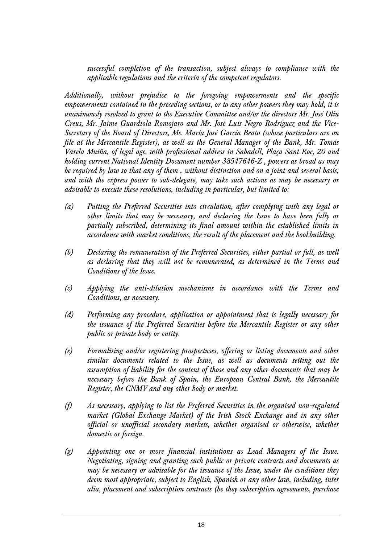*successful completion of the transaction, subject always to compliance with the applicable regulations and the criteria of the competent regulators.* 

*Additionally, without prejudice to the foregoing empowerments and the specific empowerments contained in the preceding sections, or to any other powers they may hold, it is unanimously resolved to grant to the Executive Committee and/or the directors Mr. José Oliu Creus, Mr. Jaime Guardiola Romojaro and Mr. José Luis Negro Rodríguez and the Vice-Secretary of the Board of Directors, Ms. María José García Beato (whose particulars are on file at the Mercantile Register), as well as the General Manager of the Bank, Mr. Tomás Varela Muiña, of legal age, with professional address in Sabadell, Plaça Sant Roc, 20 and holding current National Identity Document number 38547646-Z , powers as broad as may be required by law so that any of them , without distinction and on a joint and several basis, and with the express power to sub-delegate, may take such actions as may be necessary or advisable to execute these resolutions, including in particular, but limited to:* 

- *(a) Putting the Preferred Securities into circulation, after complying with any legal or other limits that may be necessary, and declaring the Issue to have been fully or partially subscribed, determining its final amount within the established limits in accordance with market conditions, the result of the placement and the bookbuilding.*
- *(b) Declaring the remuneration of the Preferred Securities, either partial or full, as well as declaring that they will not be remunerated, as determined in the Terms and Conditions of the Issue.*
- *(c) Applying the anti-dilution mechanisms in accordance with the Terms and Conditions, as necessary.*
- *(d) Performing any procedure, application or appointment that is legally necessary for the issuance of the Preferred Securities before the Mercantile Register or any other public or private body or entity.*
- *(e) Formalising and/or registering prospectuses, offering or listing documents and other similar documents related to the Issue, as well as documents setting out the assumption of liability for the content of those and any other documents that may be necessary before the Bank of Spain, the European Central Bank, the Mercantile Register, the CNMV and any other body or market.*
- *(f) As necessary, applying to list the Preferred Securities in the organised non-regulated market (Global Exchange Market) of the Irish Stock Exchange and in any other official or unofficial secondary markets, whether organised or otherwise, whether domestic or foreign.*
- *(g) Appointing one or more financial institutions as Lead Managers of the Issue. Negotiating, signing and granting such public or private contracts and documents as may be necessary or advisable for the issuance of the Issue, under the conditions they deem most appropriate, subject to English, Spanish or any other law, including, inter alia, placement and subscription contracts (be they subscription agreements, purchase*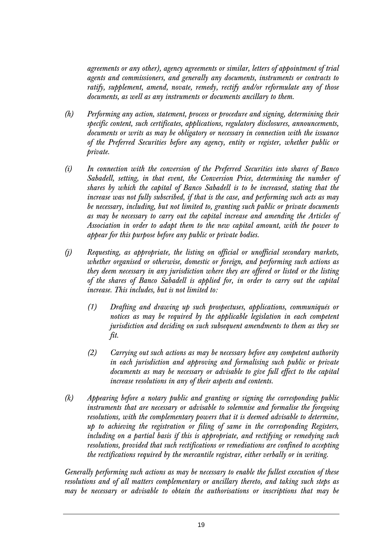*agreements or any other), agency agreements or similar, letters of appointment of trial agents and commissioners, and generally any documents, instruments or contracts to ratify, supplement, amend, novate, remedy, rectify and/or reformulate any of those documents, as well as any instruments or documents ancillary to them.* 

- *(h) Performing any action, statement, process or procedure and signing, determining their specific content, such certificates, applications, regulatory disclosures, announcements, documents or writs as may be obligatory or necessary in connection with the issuance of the Preferred Securities before any agency, entity or register, whether public or private.*
- *(i) In connection with the conversion of the Preferred Securities into shares of Banco Sabadell, setting, in that event, the Conversion Price, determining the number of shares by which the capital of Banco Sabadell is to be increased, stating that the increase was not fully subscribed, if that is the case, and performing such acts as may be necessary, including, but not limited to, granting such public or private documents as may be necessary to carry out the capital increase and amending the Articles of Association in order to adapt them to the new capital amount, with the power to appear for this purpose before any public or private bodies.*
- *(j) Requesting, as appropriate, the listing on official or unofficial secondary markets, whether organised or otherwise, domestic or foreign, and performing such actions as they deem necessary in any jurisdiction where they are offered or listed or the listing of the shares of Banco Sabadell is applied for, in order to carry out the capital increase. This includes, but is not limited to:* 
	- *(1) Drafting and drawing up such prospectuses, applications, communiqués or notices as may be required by the applicable legislation in each competent jurisdiction and deciding on such subsequent amendments to them as they see fit.*
	- *(2) Carrying out such actions as may be necessary before any competent authority in each jurisdiction and approving and formalising such public or private documents as may be necessary or advisable to give full effect to the capital increase resolutions in any of their aspects and contents.*
- *(k) Appearing before a notary public and granting or signing the corresponding public instruments that are necessary or advisable to solemnise and formalise the foregoing resolutions, with the complementary powers that it is deemed advisable to determine, up to achieving the registration or filing of same in the corresponding Registers, including on a partial basis if this is appropriate, and rectifying or remedying such resolutions, provided that such rectifications or remediations are confined to accepting the rectifications required by the mercantile registrar, either verbally or in writing.*

*Generally performing such actions as may be necessary to enable the fullest execution of these resolutions and of all matters complementary or ancillary thereto, and taking such steps as may be necessary or advisable to obtain the authorisations or inscriptions that may be*